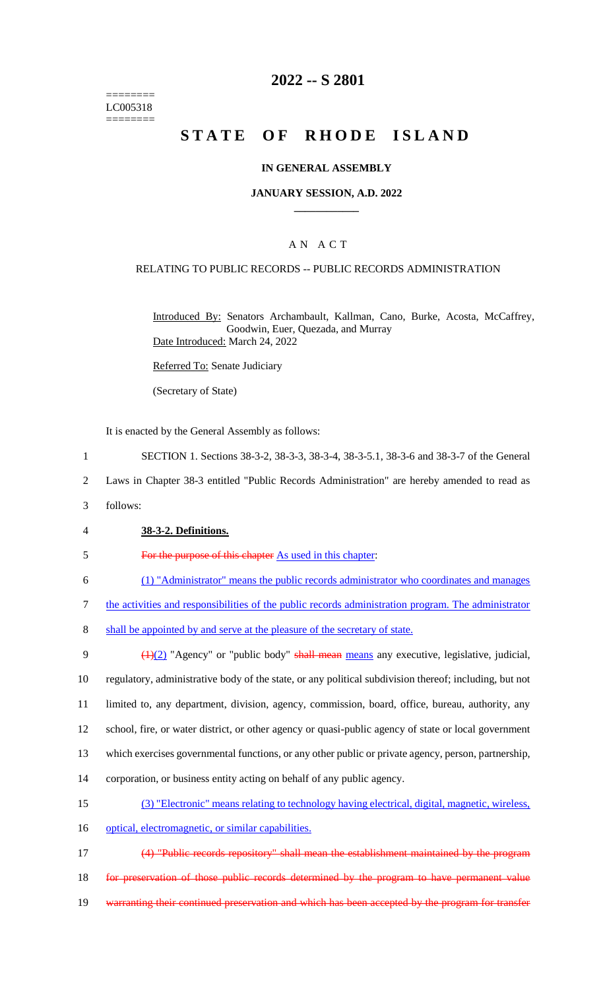======== LC005318 ========

## **2022 -- S 2801**

# **STATE OF RHODE ISLAND**

### **IN GENERAL ASSEMBLY**

### **JANUARY SESSION, A.D. 2022 \_\_\_\_\_\_\_\_\_\_\_\_**

## A N A C T

### RELATING TO PUBLIC RECORDS -- PUBLIC RECORDS ADMINISTRATION

Introduced By: Senators Archambault, Kallman, Cano, Burke, Acosta, McCaffrey, Goodwin, Euer, Quezada, and Murray Date Introduced: March 24, 2022

Referred To: Senate Judiciary

(Secretary of State)

It is enacted by the General Assembly as follows:

- 1 SECTION 1. Sections 38-3-2, 38-3-3, 38-3-4, 38-3-5.1, 38-3-6 and 38-3-7 of the General
- 2 Laws in Chapter 38-3 entitled "Public Records Administration" are hereby amended to read as
- 3 follows:
- 4 **38-3-2. Definitions.**
- 5 For the purpose of this chapter As used in this chapter:
- 6 (1) "Administrator" means the public records administrator who coordinates and manages
- 7 the activities and responsibilities of the public records administration program. The administrator
- 8 shall be appointed by and serve at the pleasure of the secretary of state.
- 9  $\left(\frac{1}{2}\right)$  "Agency" or "public body" shall mean means any executive, legislative, judicial, 10 regulatory, administrative body of the state, or any political subdivision thereof; including, but not 11 limited to, any department, division, agency, commission, board, office, bureau, authority, any 12 school, fire, or water district, or other agency or quasi-public agency of state or local government 13 which exercises governmental functions, or any other public or private agency, person, partnership, 14 corporation, or business entity acting on behalf of any public agency. 15 (3) "Electronic" means relating to technology having electrical, digital, magnetic, wireless,
- 16 optical, electromagnetic, or similar capabilities.
- 17 (4) "Public records repository" shall mean the establishment maintained by the program 18 for preservation of those public records determined by the program to have permanent value 19 warranting their continued preservation and which has been accepted by the program for transfer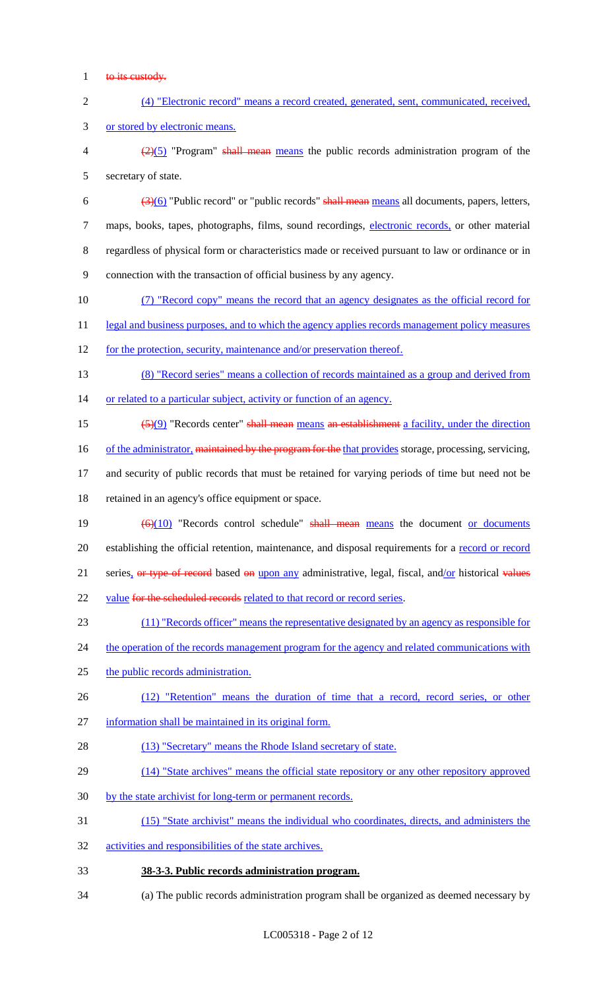- 1 to its custody.
- 2 (4) "Electronic record" means a record created, generated, sent, communicated, received, 3 or stored by electronic means.
- $\frac{2}{2}(5)$  "Program" shall mean means the public records administration program of the 5 secretary of state.
- 6  $\left(\frac{3(6)}{2}\right)$  "Public record" or "public records" shall mean means all documents, papers, letters, 7 maps, books, tapes, photographs, films, sound recordings, electronic records, or other material 8 regardless of physical form or characteristics made or received pursuant to law or ordinance or in 9 connection with the transaction of official business by any agency.
- 10 (7) "Record copy" means the record that an agency designates as the official record for
- 11 legal and business purposes, and to which the agency applies records management policy measures
- 12 for the protection, security, maintenance and/or preservation thereof.
- 13 (8) "Record series" means a collection of records maintained as a group and derived from 14 or related to a particular subject, activity or function of an agency.
- 15  $\left(\frac{5}{9}\right)$  "Records center" shall mean means an establishment a facility, under the direction
- 16 of the administrator, maintained by the program for the that provides storage, processing, servicing,
- 17 and security of public records that must be retained for varying periods of time but need not be 18 retained in an agency's office equipment or space.
- 19  $\left(\frac{6}{10}\right)$  "Records control schedule" shall mean means the document or documents 20 establishing the official retention, maintenance, and disposal requirements for a record or record 21 series, or type of record based on upon any administrative, legal, fiscal, and/or historical values 22 value for the scheduled records related to that record or record series.
- 23 (11) "Records officer" means the representative designated by an agency as responsible for
- 24 the operation of the records management program for the agency and related communications with
- 25 the public records administration.
- 26 (12) "Retention" means the duration of time that a record, record series, or other
- 27 information shall be maintained in its original form.
- 28 (13) "Secretary" means the Rhode Island secretary of state.
- 29 (14) "State archives" means the official state repository or any other repository approved
- 30 by the state archivist for long-term or permanent records.
- 31 (15) "State archivist" means the individual who coordinates, directs, and administers the
- 32 activities and responsibilities of the state archives.
- 33 **38-3-3. Public records administration program.**
- 34 (a) The public records administration program shall be organized as deemed necessary by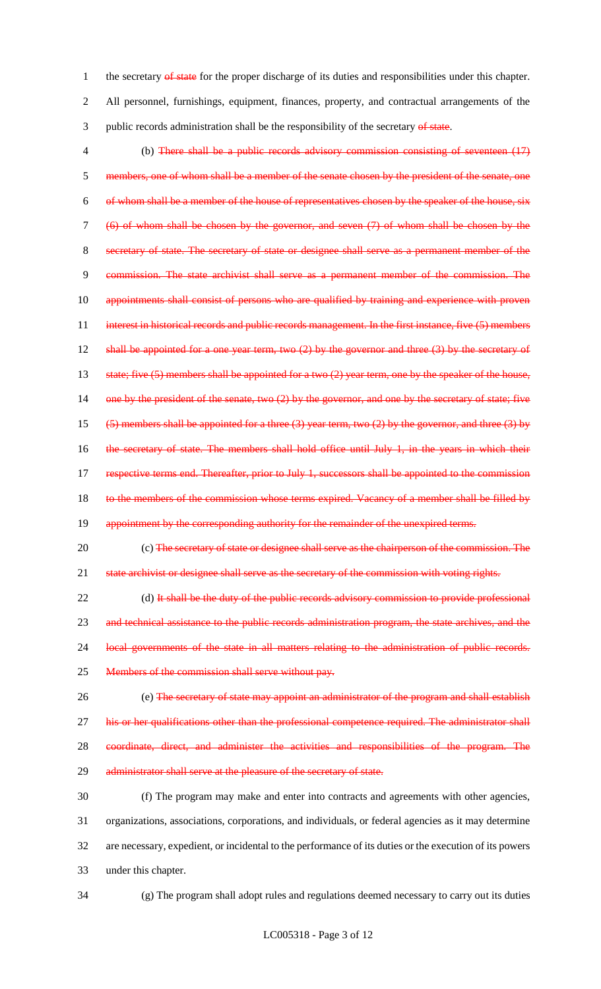1 the secretary of state for the proper discharge of its duties and responsibilities under this chapter. 2 All personnel, furnishings, equipment, finances, property, and contractual arrangements of the 3 public records administration shall be the responsibility of the secretary of state.

4 (b) There shall be a public records advisory commission consisting of seventeen (17) 5 members, one of whom shall be a member of the senate chosen by the president of the senate, one 6 of whom shall be a member of the house of representatives chosen by the speaker of the house, 7 (6) of whom shall be chosen by the governor, and seven (7) of whom shall be chosen by the 8 secretary of state. The secretary of state or designee shall serve as a permanent member of the 9 commission. The state archivist shall serve as a permanent member of the commission. The 10 appointments shall consist of persons who are qualified by training and experience with proven 11 interest in historical records and public records management. In the first instance, five (5) members 12 shall be appointed for a one year term, two  $(2)$  by the governor and three  $(3)$  by the secretary of 13 state; five (5) members shall be appointed for a two (2) year term, one by the speaker of the house, 14 one by the president of the senate, two (2) by the governor, and one by the secretary of state; five 15 (5) members shall be appointed for a three (3) year term, two (2) by the governor, and three (3) by 16 the secretary of state. The members shall hold office until July 1, in the years in which their 17 respective terms end. Thereafter, prior to July 1, successors shall be appointed to the commission 18 to the members of the commission whose terms expired. Vacancy of a member shall be filled by 19 appointment by the corresponding authority for the remainder of the unexpired terms.

20 (c) The secretary of state or designee shall serve as the chairperson of the commission. The 21 state archivist or designee shall serve as the secretary of the commission with voting rights.

22 (d) It shall be the duty of the public records advisory commission to provide professional 23 and technical assistance to the public records administration program, the state archives, and the 24 local governments of the state in all matters relating to the administration of public records. 25 Members of the commission shall serve without pay.

 (e) The secretary of state may appoint an administrator of the program and shall establish his or her qualifications other than the professional competence required. The administrator shall coordinate, direct, and administer the activities and responsibilities of the program. The 29 administrator shall serve at the pleasure of the secretary of state.

 (f) The program may make and enter into contracts and agreements with other agencies, organizations, associations, corporations, and individuals, or federal agencies as it may determine are necessary, expedient, or incidental to the performance of its duties or the execution of its powers under this chapter.

34 (g) The program shall adopt rules and regulations deemed necessary to carry out its duties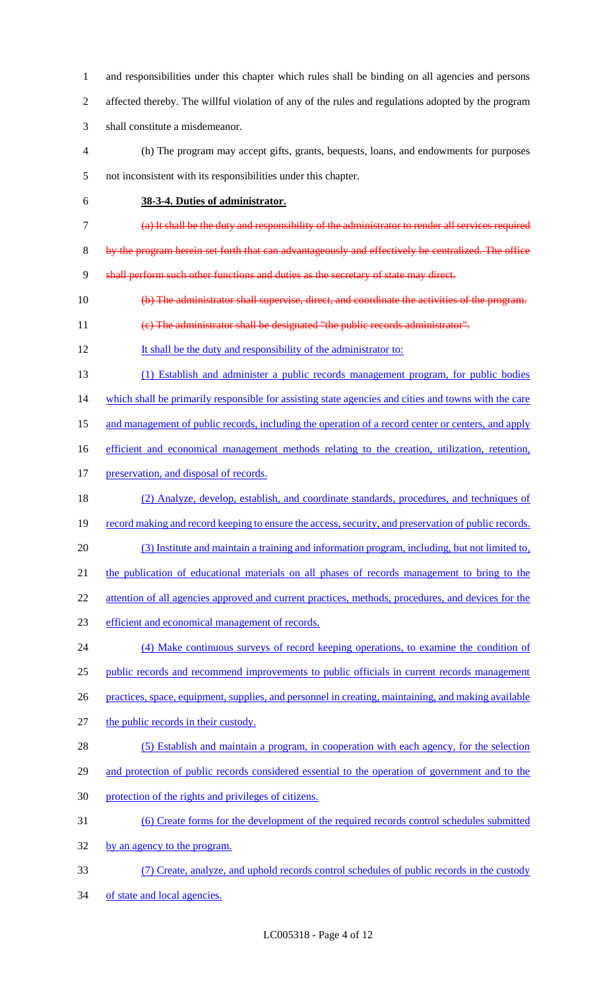and responsibilities under this chapter which rules shall be binding on all agencies and persons affected thereby. The willful violation of any of the rules and regulations adopted by the program shall constitute a misdemeanor.

- (h) The program may accept gifts, grants, bequests, loans, and endowments for purposes not inconsistent with its responsibilities under this chapter.
- 

## **38-3-4. Duties of administrator.**

- (a) It shall be the duty and responsibility of the administrator to render all services required
- 8 by the program herein set forth that can advantageously and effectively be centralized. The office

9 shall perform such other functions and duties as the secretary of state may direct.

- (b) The administrator shall supervise, direct, and coordinate the activities of the program.
- (c) The administrator shall be designated "the public records administrator".
- 12 It shall be the duty and responsibility of the administrator to:
- (1) Establish and administer a public records management program, for public bodies

which shall be primarily responsible for assisting state agencies and cities and towns with the care

- 15 and management of public records, including the operation of a record center or centers, and apply
- 16 efficient and economical management methods relating to the creation, utilization, retention,
- 17 preservation, and disposal of records.
- (2) Analyze, develop, establish, and coordinate standards, procedures, and techniques of 19 record making and record keeping to ensure the access, security, and preservation of public records.
- (3) Institute and maintain a training and information program, including, but not limited to,
- 21 the publication of educational materials on all phases of records management to bring to the
- 22 attention of all agencies approved and current practices, methods, procedures, and devices for the
- 23 efficient and economical management of records.
- (4) Make continuous surveys of record keeping operations, to examine the condition of public records and recommend improvements to public officials in current records management practices, space, equipment, supplies, and personnel in creating, maintaining, and making available
- the public records in their custody.
- (5) Establish and maintain a program, in cooperation with each agency, for the selection
- 29 and protection of public records considered essential to the operation of government and to the protection of the rights and privileges of citizens.
- (6) Create forms for the development of the required records control schedules submitted
- by an agency to the program.
- (7) Create, analyze, and uphold records control schedules of public records in the custody 34 of state and local agencies.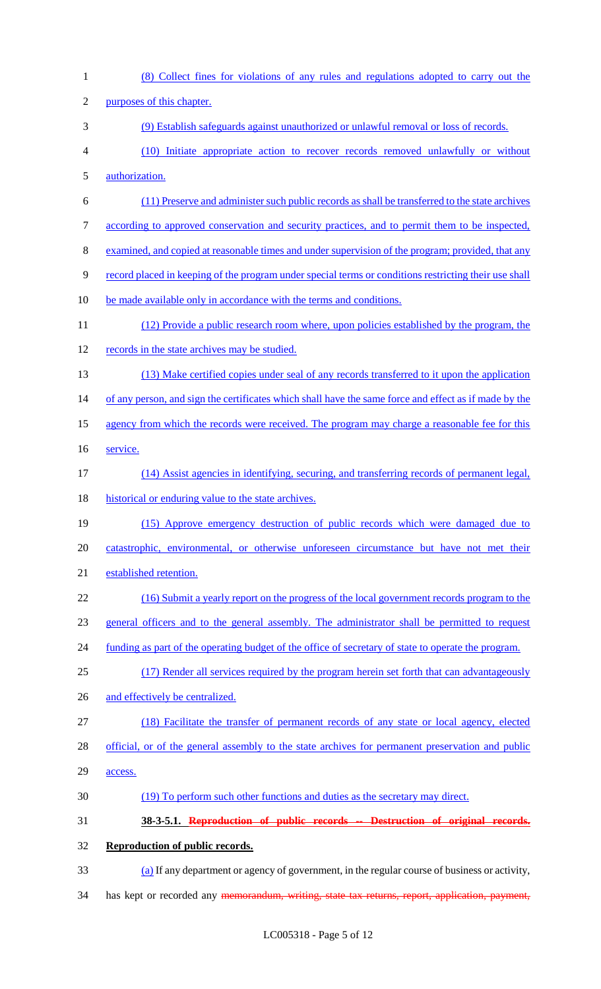| $\mathbf{1}$   | (8) Collect fines for violations of any rules and regulations adopted to carry out the                |
|----------------|-------------------------------------------------------------------------------------------------------|
| $\overline{2}$ | purposes of this chapter.                                                                             |
| 3              | (9) Establish safeguards against unauthorized or unlawful removal or loss of records.                 |
| $\overline{4}$ | (10) Initiate appropriate action to recover records removed unlawfully or without                     |
| $\mathfrak{S}$ | authorization.                                                                                        |
| 6              | (11) Preserve and administer such public records as shall be transferred to the state archives        |
| $\tau$         | according to approved conservation and security practices, and to permit them to be inspected,        |
| $8\,$          | examined, and copied at reasonable times and under supervision of the program; provided, that any     |
| 9              | record placed in keeping of the program under special terms or conditions restricting their use shall |
| 10             | be made available only in accordance with the terms and conditions.                                   |
| 11             | (12) Provide a public research room where, upon policies established by the program, the              |
| 12             | records in the state archives may be studied.                                                         |
| 13             | (13) Make certified copies under seal of any records transferred to it upon the application           |
| 14             | of any person, and sign the certificates which shall have the same force and effect as if made by the |
| 15             | agency from which the records were received. The program may charge a reasonable fee for this         |
| 16             | service.                                                                                              |
| 17             | (14) Assist agencies in identifying, securing, and transferring records of permanent legal,           |
| 18             | historical or enduring value to the state archives.                                                   |
| 19             | (15) Approve emergency destruction of public records which were damaged due to                        |
| 20             | catastrophic, environmental, or otherwise unforeseen circumstance but have not met their              |
| 21             | established retention.                                                                                |
| 22             | (16) Submit a yearly report on the progress of the local government records program to the            |
| 23             | general officers and to the general assembly. The administrator shall be permitted to request         |
| 24             | funding as part of the operating budget of the office of secretary of state to operate the program.   |
| 25             | (17) Render all services required by the program herein set forth that can advantage ously            |
| 26             | and effectively be centralized.                                                                       |
| 27             | (18) Facilitate the transfer of permanent records of any state or local agency, elected               |
| 28             | official, or of the general assembly to the state archives for permanent preservation and public      |
| 29             | access.                                                                                               |
| 30             | (19) To perform such other functions and duties as the secretary may direct.                          |
| 31             | 38-3-5.1. Reproduction of public records -- Destruction of original records.                          |
| 32             | Reproduction of public records.                                                                       |
| 33             | (a) If any department or agency of government, in the regular course of business or activity,         |
| 34             | has kept or recorded any memorandum, writing, state tax returns, report, application, payment,        |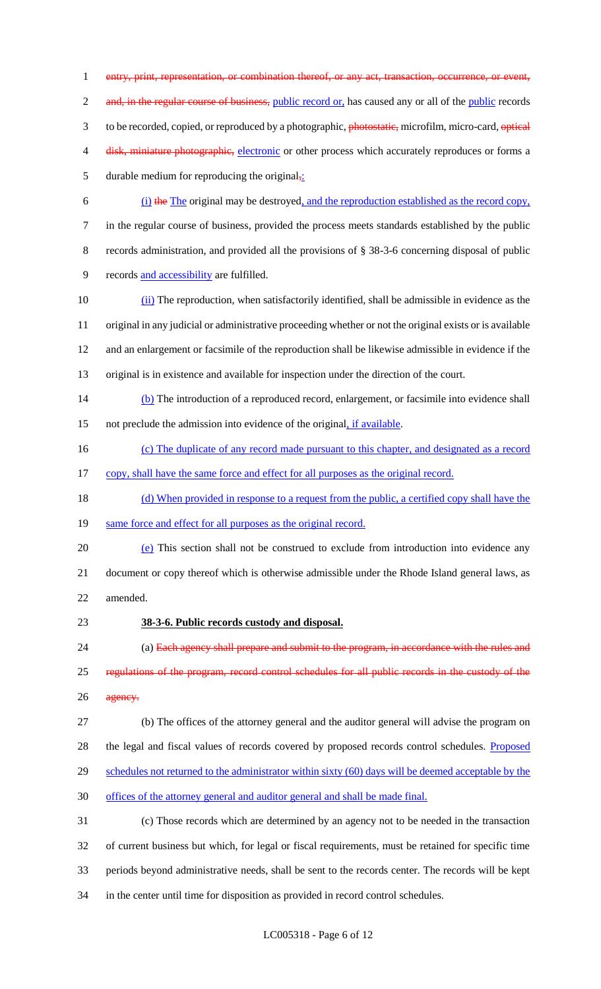1 entry, print, representation, or combination thereof, or any act, transaction, occurrence, or event, 2 and, in the regular course of business, public record or, has caused any or all of the public records 3 to be recorded, copied, or reproduced by a photographic, photostatic, microfilm, micro-card, optical 4 disk, miniature photographic, electronic or other process which accurately reproduces or forms a 5 durable medium for reproducing the original $\frac{1}{2}$ : 6 (i) the The original may be destroyed, and the reproduction established as the record copy, 7 in the regular course of business, provided the process meets standards established by the public 8 records administration, and provided all the provisions of § 38-3-6 concerning disposal of public

- 9 records and accessibility are fulfilled.
- 10 (ii) The reproduction, when satisfactorily identified, shall be admissible in evidence as the 11 original in any judicial or administrative proceeding whether or not the original exists or is available 12 and an enlargement or facsimile of the reproduction shall be likewise admissible in evidence if the 13 original is in existence and available for inspection under the direction of the court.
- 14 (b) The introduction of a reproduced record, enlargement, or facsimile into evidence shall 15 not preclude the admission into evidence of the original, if available.
- 16 (c) The duplicate of any record made pursuant to this chapter, and designated as a record
- 17 copy, shall have the same force and effect for all purposes as the original record.
- 18 (d) When provided in response to a request from the public, a certified copy shall have the
- 19 same force and effect for all purposes as the original record.
- 20 (e) This section shall not be construed to exclude from introduction into evidence any 21 document or copy thereof which is otherwise admissible under the Rhode Island general laws, as 22 amended.
- 23 **38-3-6. Public records custody and disposal.**
- 24 (a) Each agency shall prepare and submit to the program, in accordance with the rules and 25 regulations of the program, record control schedules for all public records in the custody of the 26 agency.
- 27 (b) The offices of the attorney general and the auditor general will advise the program on 28 the legal and fiscal values of records covered by proposed records control schedules. Proposed 29 schedules not returned to the administrator within sixty (60) days will be deemed acceptable by the

30 offices of the attorney general and auditor general and shall be made final.

 (c) Those records which are determined by an agency not to be needed in the transaction of current business but which, for legal or fiscal requirements, must be retained for specific time periods beyond administrative needs, shall be sent to the records center. The records will be kept in the center until time for disposition as provided in record control schedules.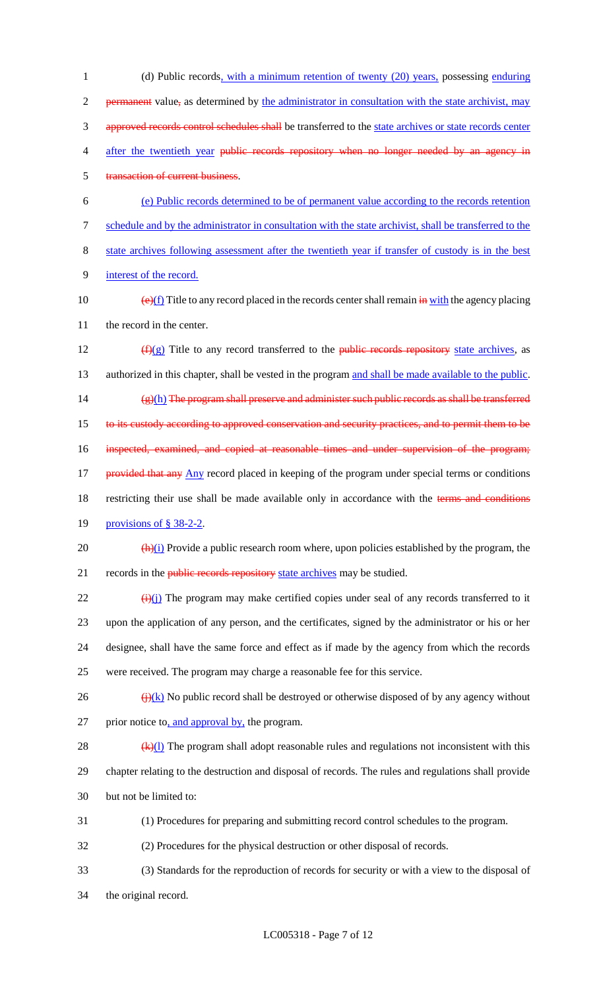1 (d) Public records, with a minimum retention of twenty (20) years, possessing enduring 2 permanent value, as determined by the administrator in consultation with the state archivist, may 3 approved records control schedules shall be transferred to the state archives or state records center 4 after the twentieth year public records repository when no longer needed by an agency in 5 transaction of current business. 6 (e) Public records determined to be of permanent value according to the records retention 7 schedule and by the administrator in consultation with the state archivist, shall be transferred to the 8 state archives following assessment after the twentieth year if transfer of custody is in the best 9 interest of the record.

10  $\left(\frac{e}{f}\right)$  Title to any record placed in the records center shall remain  $\frac{e}{f}$  with the agency placing 11 the record in the center.

12  $(f)(g)$  Title to any record transferred to the public records repository state archives, as 13 authorized in this chapter, shall be vested in the program and shall be made available to the public. 14  $(g)(h)$  The program shall preserve and administer such public records as shall be transferred 15 to its custody according to approved conservation and security practices, and to permit them to be 16 inspected, examined, and copied at reasonable times and under supervision of the program; 17 provided that any Any record placed in keeping of the program under special terms or conditions 18 restricting their use shall be made available only in accordance with the terms and conditions

19 provisions of § 38-2-2.

20  $\frac{(\mathbf{h})(i)}{(\mathbf{h})(i)}$  Provide a public research room where, upon policies established by the program, the 21 records in the *public records repository state archives* may be studied.

 $\frac{1}{22}$  (i)(j) The program may make certified copies under seal of any records transferred to it upon the application of any person, and the certificates, signed by the administrator or his or her designee, shall have the same force and effect as if made by the agency from which the records were received. The program may charge a reasonable fee for this service.

 $\frac{f(x)}{f(x)}$  No public record shall be destroyed or otherwise disposed of by any agency without 27 prior notice to, and approval by, the program.

28  $(k)(l)$  The program shall adopt reasonable rules and regulations not inconsistent with this 29 chapter relating to the destruction and disposal of records. The rules and regulations shall provide 30 but not be limited to:

31 (1) Procedures for preparing and submitting record control schedules to the program.

32 (2) Procedures for the physical destruction or other disposal of records.

33 (3) Standards for the reproduction of records for security or with a view to the disposal of 34 the original record.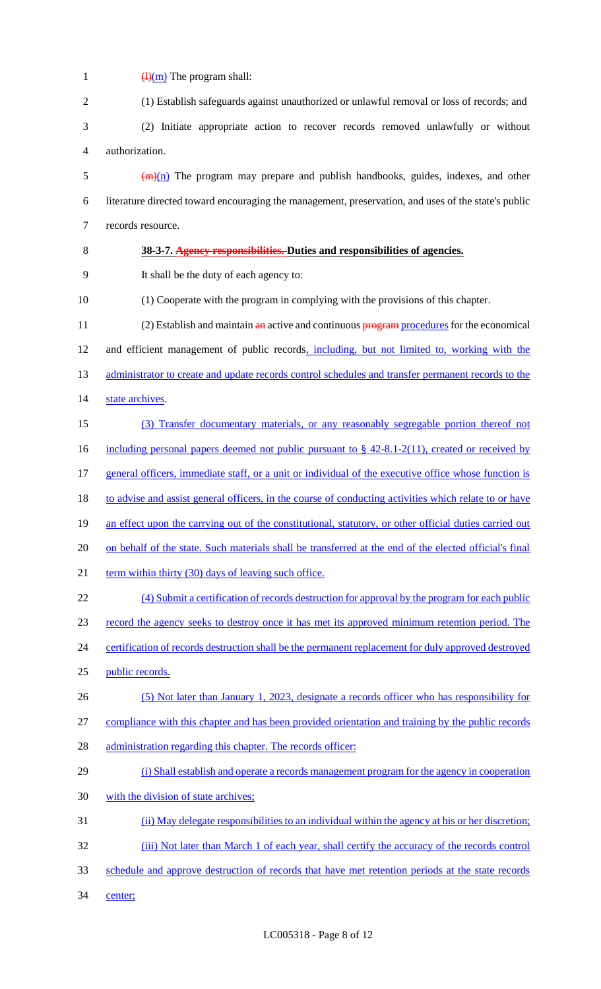| $\mathbf{1}$             | $\frac{(\mathrm{H})(\mathrm{m})}{(\mathrm{H})(\mathrm{m})}$ The program shall:                                       |
|--------------------------|----------------------------------------------------------------------------------------------------------------------|
| $\mathbf{2}$             | (1) Establish safeguards against unauthorized or unlawful removal or loss of records; and                            |
| 3                        | (2) Initiate appropriate action to recover records removed unlawfully or without                                     |
| $\overline{\mathcal{A}}$ | authorization.                                                                                                       |
| 5                        | $\frac{m(n)}{n}$ The program may prepare and publish handbooks, guides, indexes, and other                           |
| 6                        | literature directed toward encouraging the management, preservation, and uses of the state's public                  |
| $\boldsymbol{7}$         | records resource.                                                                                                    |
| $8\,$                    | 38-3-7. Agency responsibilities. Duties and responsibilities of agencies.                                            |
| 9                        | It shall be the duty of each agency to:                                                                              |
| 10                       | (1) Cooperate with the program in complying with the provisions of this chapter.                                     |
| 11                       | $(2)$ Establish and maintain $\frac{a_n}{b_n}$ active and continuous $\frac{a_n}{b_n}$ procedures for the economical |
| 12                       | and efficient management of public records, including, but not limited to, working with the                          |
| 13                       | administrator to create and update records control schedules and transfer permanent records to the                   |
| 14                       | state archives.                                                                                                      |
| 15                       | (3) Transfer documentary materials, or any reasonably segregable portion thereof not                                 |
| 16                       | including personal papers deemed not public pursuant to $\S$ 42-8.1-2(11), created or received by                    |
| 17                       | general officers, immediate staff, or a unit or individual of the executive office whose function is                 |
| 18                       | to advise and assist general officers, in the course of conducting activities which relate to or have                |
| 19                       | an effect upon the carrying out of the constitutional, statutory, or other official duties carried out               |
| 20                       | on behalf of the state. Such materials shall be transferred at the end of the elected official's final               |
| 21                       | term within thirty (30) days of leaving such office.                                                                 |
| 22                       | (4) Submit a certification of records destruction for approval by the program for each public                        |
| 23                       | record the agency seeks to destroy once it has met its approved minimum retention period. The                        |
| 24                       | certification of records destruction shall be the permanent replacement for duly approved destroyed                  |
| 25                       | public records.                                                                                                      |
| 26                       | (5) Not later than January 1, 2023, designate a records officer who has responsibility for                           |
| 27                       | compliance with this chapter and has been provided orientation and training by the public records                    |
| 28                       | administration regarding this chapter. The records officer:                                                          |
| 29                       | (i) Shall establish and operate a records management program for the agency in cooperation                           |
| 30                       | with the division of state archives;                                                                                 |
| 31                       | (ii) May delegate responsibilities to an individual within the agency at his or her discretion;                      |
| 32                       | (iii) Not later than March 1 of each year, shall certify the accuracy of the records control                         |
| 33                       | schedule and approve destruction of records that have met retention periods at the state records                     |
| 34                       | center;                                                                                                              |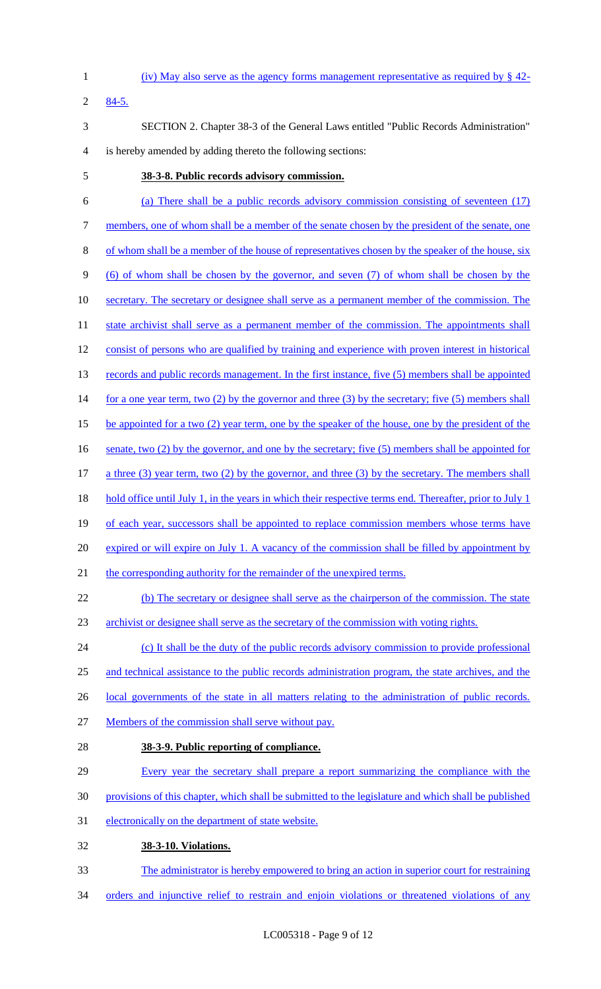- 1 (iv) May also serve as the agency forms management representative as required by § 42- 2 84-5. 3 SECTION 2. Chapter 38-3 of the General Laws entitled "Public Records Administration" 4 is hereby amended by adding thereto the following sections: 5 **38-3-8. Public records advisory commission.**  6 (a) There shall be a public records advisory commission consisting of seventeen (17) 7 members, one of whom shall be a member of the senate chosen by the president of the senate, one
- 8 of whom shall be a member of the house of representatives chosen by the speaker of the house, six 9 (6) of whom shall be chosen by the governor, and seven (7) of whom shall be chosen by the
- 10 secretary. The secretary or designee shall serve as a permanent member of the commission. The
- 11 state archivist shall serve as a permanent member of the commission. The appointments shall 12 consist of persons who are qualified by training and experience with proven interest in historical
- 13 records and public records management. In the first instance, five (5) members shall be appointed
- 14 for a one year term, two (2) by the governor and three (3) by the secretary; five (5) members shall
- 15 be appointed for a two (2) year term, one by the speaker of the house, one by the president of the
- 16 senate, two (2) by the governor, and one by the secretary; five (5) members shall be appointed for
- 17 a three (3) year term, two (2) by the governor, and three (3) by the secretary. The members shall
- 18 hold office until July 1, in the years in which their respective terms end. Thereafter, prior to July 1
- 19 of each year, successors shall be appointed to replace commission members whose terms have
- 20 expired or will expire on July 1. A vacancy of the commission shall be filled by appointment by
- 21 the corresponding authority for the remainder of the unexpired terms.
- 22 (b) The secretary or designee shall serve as the chairperson of the commission. The state
- 23 archivist or designee shall serve as the secretary of the commission with voting rights.
- 24 (c) It shall be the duty of the public records advisory commission to provide professional 25 and technical assistance to the public records administration program, the state archives, and the
- 
- 26 local governments of the state in all matters relating to the administration of public records.
- 27 Members of the commission shall serve without pay.
- 28 **38-3-9. Public reporting of compliance.**
- 29 Every year the secretary shall prepare a report summarizing the compliance with the
- 30 provisions of this chapter, which shall be submitted to the legislature and which shall be published
- 31 electronically on the department of state website.
- 32 **38-3-10. Violations.**
- 33 The administrator is hereby empowered to bring an action in superior court for restraining
- 34 orders and injunctive relief to restrain and enjoin violations or threatened violations of any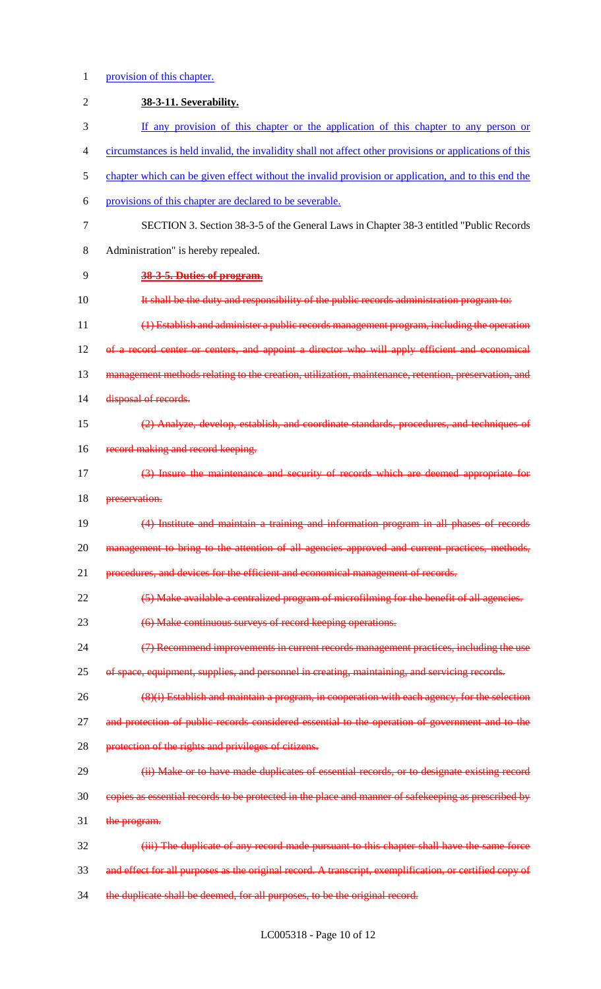## 1 provision of this chapter.

| $\overline{2}$ | 38-3-11. Severability.                                                                                  |
|----------------|---------------------------------------------------------------------------------------------------------|
| 3              | If any provision of this chapter or the application of this chapter to any person or                    |
| 4              | circumstances is held invalid, the invalidity shall not affect other provisions or applications of this |
| 5              | chapter which can be given effect without the invalid provision or application, and to this end the     |
| 6              | provisions of this chapter are declared to be severable.                                                |
| $\tau$         | SECTION 3. Section 38-3-5 of the General Laws in Chapter 38-3 entitled "Public Records"                 |
| $8\,$          | Administration" is hereby repealed.                                                                     |
| 9              | 38-3-5. Duties of program.                                                                              |
| 10             | It shall be the duty and responsibility of the public records administration program to:                |
| 11             | (1) Establish and administer a public records management program, including the operation               |
| 12             | of a record center or centers, and appoint a director who will apply efficient and economical           |
| 13             | management methods relating to the creation, utilization, maintenance, retention, preservation, and     |
| 14             | disposal of records.                                                                                    |
| 15             | (2) Analyze, develop, establish, and coordinate standards, procedures, and techniques of                |
| 16             | record making and record keeping.                                                                       |
| 17             | (3) Insure the maintenance and security of records which are deemed appropriate for                     |
| 18             | preservation.                                                                                           |
| 19             | (4) Institute and maintain a training and information program in all phases of records                  |
| 20             | management to bring to the attention of all agencies approved and current practices, methods,           |
| 21             | procedures, and devices for the efficient and economical management of records.                         |
| 22             | (5) Make available a centralized program of microfilming for the benefit of all agencies.               |
| 23             | (6) Make continuous surveys of record keeping operations.                                               |
| 24             | (7) Recommend improvements in current records management practices, including the use                   |
| 25             | of space, equipment, supplies, and personnel in creating, maintaining, and servicing records.           |
| 26             | (8)(i) Establish and maintain a program, in cooperation with each agency, for the selection             |
| 27             | and protection of public records considered essential to the operation of government and to the         |
| 28             | protection of the rights and privileges of citizens.                                                    |
| 29             | (ii) Make or to have made duplicates of essential records, or to designate existing record              |
| 30             | copies as essential records to be protected in the place and manner of safekeeping as prescribed by     |
| 31             | the program.                                                                                            |
| 32             | (iii) The duplicate of any record made pursuant to this chapter shall have the same force               |
| 33             | and effect for all purposes as the original record. A transcript, exemplification, or certified copy of |
| 34             | the duplicate shall be deemed, for all purposes, to be the original record.                             |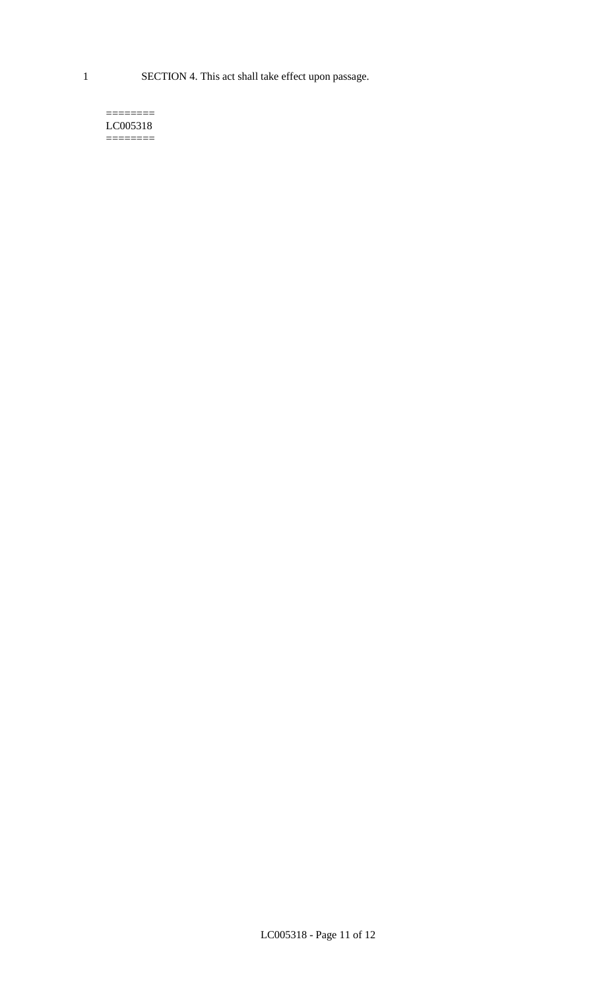1 SECTION 4. This act shall take effect upon passage.

#### $=$ LC005318 ========

LC005318 - Page 11 of 12